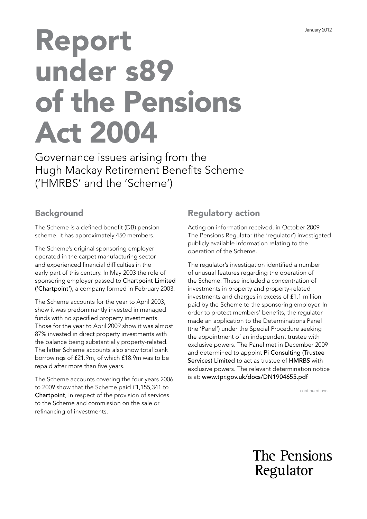# Report under s89 of the Pensions Act 2004

Governance issues arising from the Hugh Mackay Retirement Benefits Scheme ('HMRBS' and the 'Scheme')

## **Background**

The Scheme is a defined benefit (DB) pension scheme. It has approximately 450 members.

The Scheme's original sponsoring employer operated in the carpet manufacturing sector and experienced financial difficulties in the early part of this century. In May 2003 the role of sponsoring employer passed to Chartpoint Limited ('Chartpoint'), a company formed in February 2003.

The Scheme accounts for the year to April 2003, show it was predominantly invested in managed funds with no specified property investments. Those for the year to April 2009 show it was almost 87% invested in direct property investments with the balance being substantially property-related. The latter Scheme accounts also show total bank borrowings of £21.9m, of which £18.9m was to be repaid after more than five years.

The Scheme accounts covering the four years 2006 to 2009 show that the Scheme paid £1,155,341 to Chartpoint, in respect of the provision of services to the Scheme and commission on the sale or refinancing of investments.

# Regulatory action

Acting on information received, in October 2009 The Pensions Regulator (the 'regulator') investigated publicly available information relating to the operation of the Scheme.

The regulator's investigation identified a number of unusual features regarding the operation of the Scheme. These included a concentration of investments in property and property-related investments and charges in excess of £1.1 million paid by the Scheme to the sponsoring employer. In order to protect members' benefits, the regulator made an application to the Determinations Panel (the 'Panel') under the Special Procedure seeking the appointment of an independent trustee with exclusive powers. The Panel met in December 2009 and determined to appoint Pi Consulting (Trustee Services) Limited to act as trustee of HMRBS with exclusive powers. The relevant determination notice is at: [www.tpr.gov.uk/docs/DN1904655.pdf](https://www.thepensionsregulator.gov.uk/-/media/thepensionsregulator/files/import/pdf/dn1904655.ashx)

continued over...

The Pensions Regulator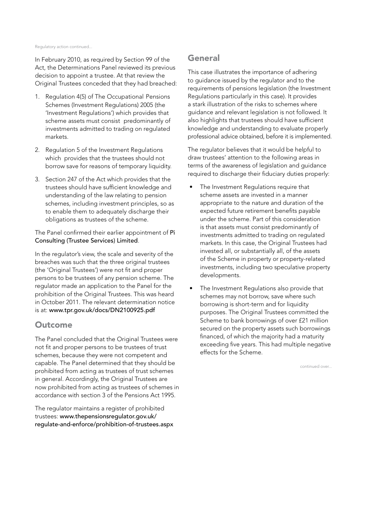#### Regulatory action continued...

In February 2010, as required by Section 99 of the Act, the Determinations Panel reviewed its previous decision to appoint a trustee. At that review the Original Trustees conceded that they had breached:

- 1. Regulation 4(5) of The Occupational Pensions Schemes (Investment Regulations) 2005 (the 'Investment Regulations') which provides that scheme assets must consist predominantly of investments admitted to trading on regulated markets.
- 2. Regulation 5 of the Investment Regulations which provides that the trustees should not borrow save for reasons of temporary liquidity.
- 3. Section 247 of the Act which provides that the trustees should have sufficient knowledge and understanding of the law relating to pension schemes, including investment principles, so as to enable them to adequately discharge their obligations as trustees of the scheme.

The Panel confirmed their earlier appointment of Pi Consulting (Trustee Services) Limited.

In the regulator's view, the scale and severity of the breaches was such that the three original trustees (the 'Original Trustees') were not fit and proper persons to be trustees of any pension scheme. The regulator made an application to the Panel for the prohibition of the Original Trustees. This was heard in October 2011. The relevant determination notice is at: [www.tpr.gov.uk/docs/DN](https://www.thepensionsregulator.gov.uk/-/media/thepensionsregulator/files/import/pdf/dn2100925.ashx)2100925.pdf

### **Outcome**

The Panel concluded that the Original Trustees were not fit and proper persons to be trustees of trust schemes, because they were not competent and capable. The Panel determined that they should be prohibited from acting as trustees of trust schemes in general. Accordingly, the Original Trustees are now prohibited from acting as trustees of schemes in accordance with section 3 of the Pensions Act 1995.

The regulator maintains a register of prohibited trustees: www.thepensionsregulator.gov.uk/ [regulate-and-enforce/prohibition-of-trustees.aspx](https://www.thepensionsregulator.gov.uk/en/document-library/enforcement-activity/prohibition-of-trustees-)

## **General**

This case illustrates the importance of adhering to guidance issued by the regulator and to the requirements of pensions legislation (the Investment Regulations particularly in this case). It provides a stark illustration of the risks to schemes where guidance and relevant legislation is not followed. It also highlights that trustees should have sufficient knowledge and understanding to evaluate properly professional advice obtained, before it is implemented.

The regulator believes that it would be helpful to draw trustees' attention to the following areas in terms of the awareness of legislation and guidance required to discharge their fiduciary duties properly:

- The Investment Regulations require that scheme assets are invested in a manner appropriate to the nature and duration of the expected future retirement benefits payable under the scheme. Part of this consideration is that assets must consist predominantly of investments admitted to trading on regulated markets. In this case, the Original Trustees had invested all, or substantially all, of the assets of the Scheme in property or property-related investments, including two speculative property developments.
- The Investment Regulations also provide that schemes may not borrow, save where such borrowing is short-term and for liquidity purposes. The Original Trustees committed the Scheme to bank borrowings of over £21 million secured on the property assets such borrowings financed, of which the majority had a maturity exceeding five years. This had multiple negative effects for the Scheme.

continued over...